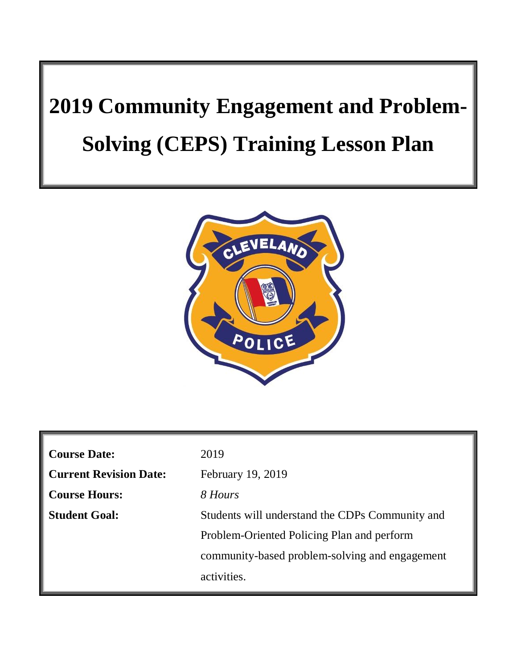# **2019 Community Engagement and Problem-Solving (CEPS) Training Lesson Plan**



| <b>Course Date:</b>           | 2019                                            |  |  |
|-------------------------------|-------------------------------------------------|--|--|
| <b>Current Revision Date:</b> | February 19, 2019                               |  |  |
| <b>Course Hours:</b>          | 8 Hours                                         |  |  |
| <b>Student Goal:</b>          | Students will understand the CDPs Community and |  |  |
|                               | Problem-Oriented Policing Plan and perform      |  |  |
|                               | community-based problem-solving and engagement  |  |  |
|                               | activities.                                     |  |  |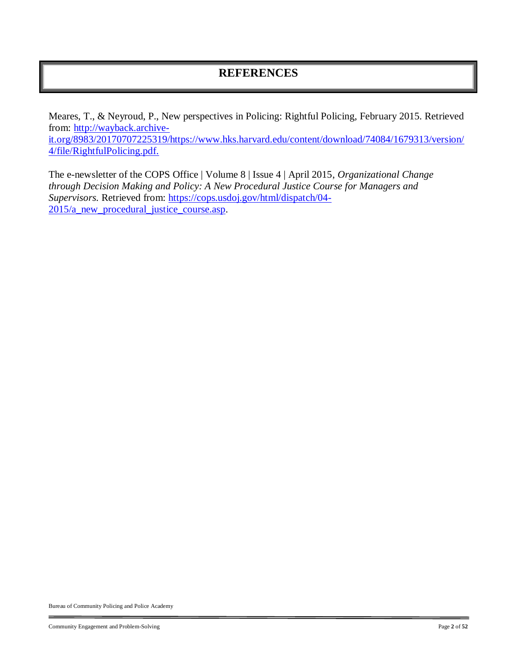# **REFERENCES**

Meares, T., & Neyroud, P., New perspectives in Policing: Rightful Policing, February 2015. Retrieved from: [http://wayback.archive](http://wayback.archive-it.org/8983/20170707225319/https:/www.hks.harvard.edu/content/download/74084/1679313/version/4/file/RightfulPolicing.pdf)[it.org/8983/20170707225319/https://www.hks.harvard.edu/content/download/74084/1679313/version/](http://wayback.archive-it.org/8983/20170707225319/https:/www.hks.harvard.edu/content/download/74084/1679313/version/4/file/RightfulPolicing.pdf) [4/file/RightfulPolicing.pdf.](http://wayback.archive-it.org/8983/20170707225319/https:/www.hks.harvard.edu/content/download/74084/1679313/version/4/file/RightfulPolicing.pdf)

The e-newsletter of the COPS Office | Volume 8 | Issue 4 | April 2015, *Organizational Change through Decision Making and Policy: A New Procedural Justice Course for Managers and Supervisors.* Retrieved from: [https://cops.usdoj.gov/html/dispatch/04-](https://cops.usdoj.gov/html/dispatch/04-2015/a_new_procedural_justice_course.asp) [2015/a\\_new\\_procedural\\_justice\\_course.asp.](https://cops.usdoj.gov/html/dispatch/04-2015/a_new_procedural_justice_course.asp)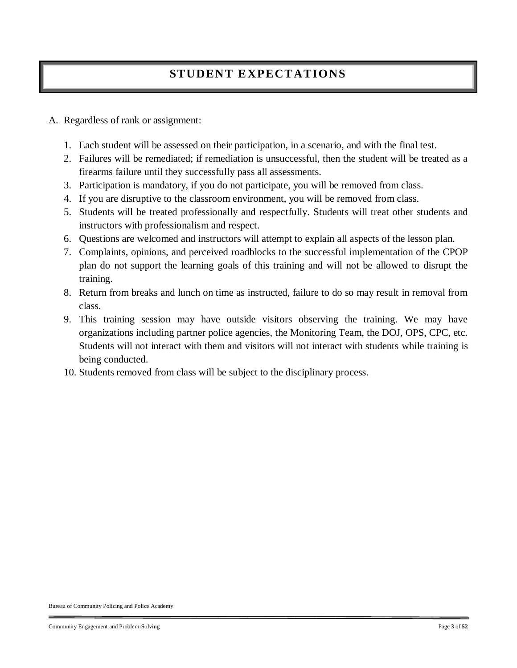# **STUDENT EXPECTATIONS**

A. Regardless of rank or assignment:

- 1. Each student will be assessed on their participation, in a scenario, and with the final test.
- 2. Failures will be remediated; if remediation is unsuccessful, then the student will be treated as a firearms failure until they successfully pass all assessments.
- 3. Participation is mandatory, if you do not participate, you will be removed from class.
- 4. If you are disruptive to the classroom environment, you will be removed from class.
- 5. Students will be treated professionally and respectfully. Students will treat other students and instructors with professionalism and respect.
- 6. Questions are welcomed and instructors will attempt to explain all aspects of the lesson plan.
- 7. Complaints, opinions, and perceived roadblocks to the successful implementation of the CPOP plan do not support the learning goals of this training and will not be allowed to disrupt the training.
- 8. Return from breaks and lunch on time as instructed, failure to do so may result in removal from class.
- 9. This training session may have outside visitors observing the training. We may have organizations including partner police agencies, the Monitoring Team, the DOJ, OPS, CPC, etc. Students will not interact with them and visitors will not interact with students while training is being conducted.
- 10. Students removed from class will be subject to the disciplinary process.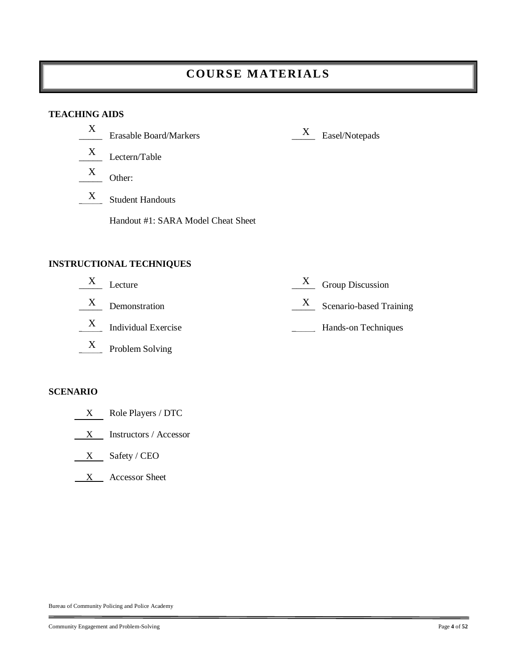# **COURSE MATERIALS**

#### **TEACHING AIDS**





#### **SCENARIO**

- X Role Players / DTC
- $X$  Instructors / Accessor
- $X$  Safety / CEO
- $X$  Accessor Sheet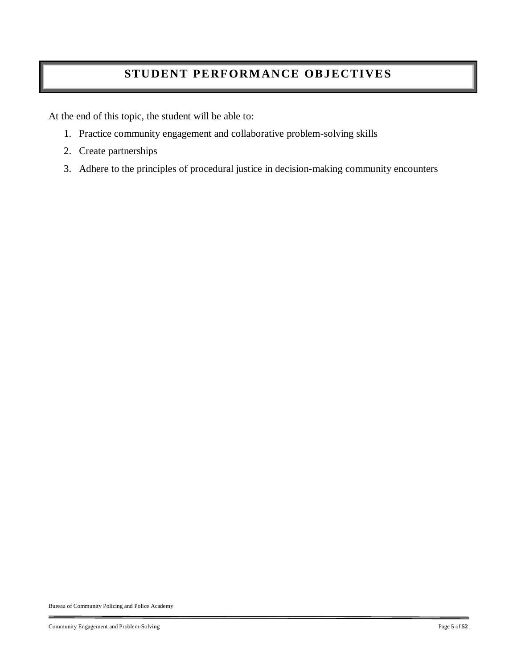# **STUDENT PERFORMANCE OBJECTIVES**

At the end of this topic, the student will be able to:

- 1. Practice community engagement and collaborative problem-solving skills
- 2. Create partnerships
- 3. Adhere to the principles of procedural justice in decision-making community encounters

L.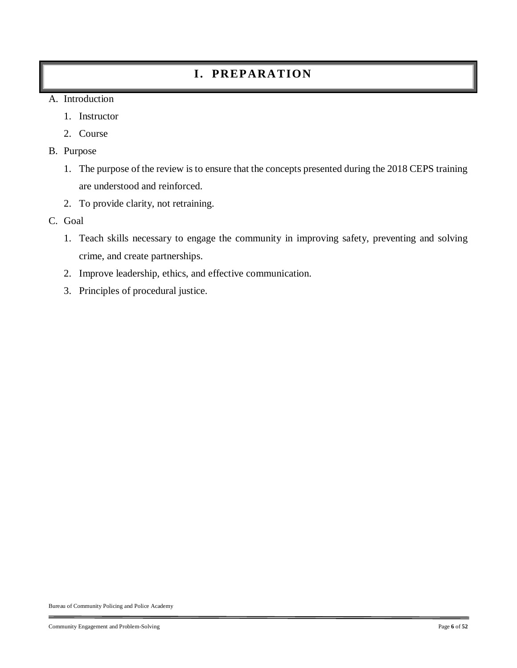# **I. PREPARATION**

- A. Introduction
	- 1. Instructor
	- 2. Course
- B. Purpose
	- 1. The purpose of the review is to ensure that the concepts presented during the 2018 CEPS training are understood and reinforced.
	- 2. To provide clarity, not retraining.
- C. Goal
	- 1. Teach skills necessary to engage the community in improving safety, preventing and solving crime, and create partnerships.
	- 2. Improve leadership, ethics, and effective communication.
	- 3. Principles of procedural justice.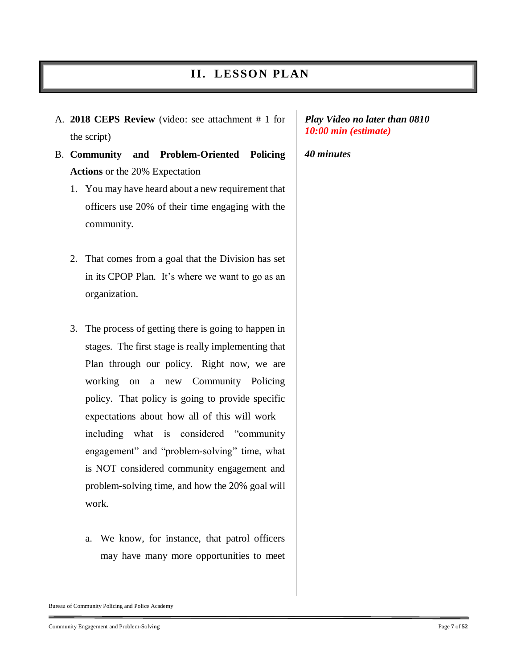# **II. LESSON PLAN**

- A. **2018 CEPS Review** (video: see attachment # 1 for the script)
- B. **Community and Problem-Oriented Policing Actions** or the 20% Expectation
	- 1. You may have heard about a new requirement that officers use 20% of their time engaging with the community.
	- 2. That comes from a goal that the Division has set in its CPOP Plan. It's where we want to go as an organization.
	- 3. The process of getting there is going to happen in stages. The first stage is really implementing that Plan through our policy. Right now, we are working on a new Community Policing policy. That policy is going to provide specific expectations about how all of this will work – including what is considered "community engagement" and "problem-solving" time, what is NOT considered community engagement and problem-solving time, and how the 20% goal will work.
		- a. We know, for instance, that patrol officers may have many more opportunities to meet

#### *Play Video no later than 0810 10:00 min (estimate)*

#### *40 minutes*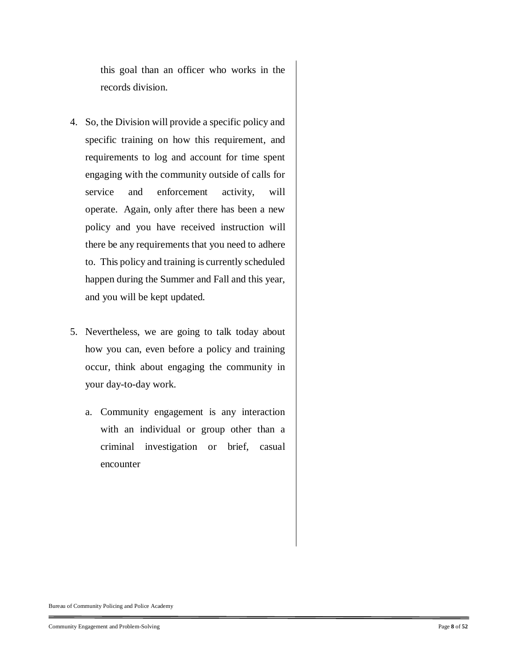this goal than an officer who works in the records division.

- 4. So, the Division will provide a specific policy and specific training on how this requirement, and requirements to log and account for time spent engaging with the community outside of calls for service and enforcement activity, will operate. Again, only after there has been a new policy and you have received instruction will there be any requirements that you need to adhere to. This policy and training is currently scheduled happen during the Summer and Fall and this year, and you will be kept updated.
- 5. Nevertheless, we are going to talk today about how you can, even before a policy and training occur, think about engaging the community in your day-to-day work.
	- a. Community engagement is any interaction with an individual or group other than a criminal investigation or brief, casual encounter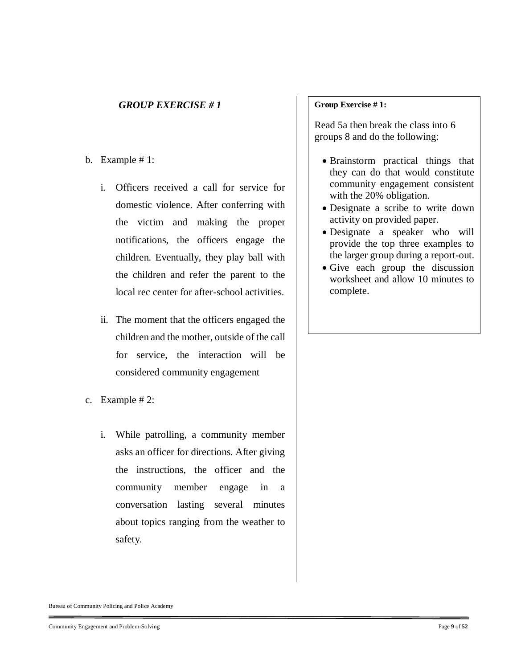#### *GROUP EXERCISE # 1*

- b. Example # 1:
	- i. Officers received a call for service for domestic violence. After conferring with the victim and making the proper notifications, the officers engage the children. Eventually, they play ball with the children and refer the parent to the local rec center for after-school activities.
	- ii. The moment that the officers engaged the children and the mother, outside of the call for service, the interaction will be considered community engagement
- c. Example # 2:
	- i. While patrolling, a community member asks an officer for directions. After giving the instructions, the officer and the community member engage in a conversation lasting several minutes about topics ranging from the weather to safety.

#### **Group Exercise # 1:**

Read 5a then break the class into 6 groups 8 and do the following:

- Brainstorm practical things that they can do that would constitute community engagement consistent with the 20% obligation.
- Designate a scribe to write down activity on provided paper.
- Designate a speaker who will provide the top three examples to the larger group during a report-out.
- Give each group the discussion worksheet and allow 10 minutes to complete.

```
Bureau of Community Policing and Police Academy
```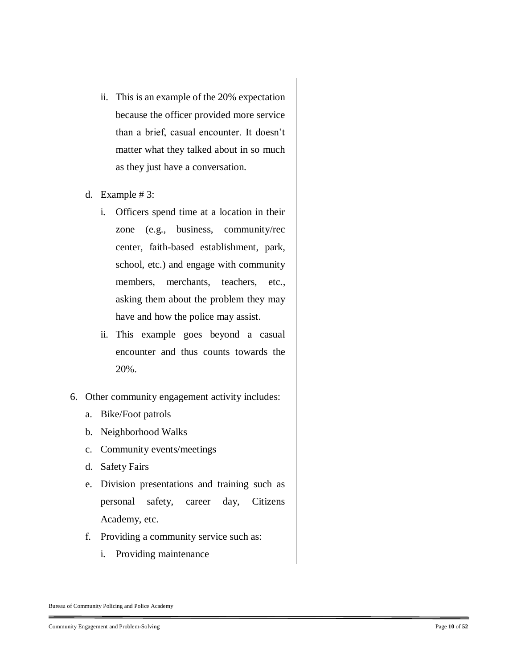- ii. This is an example of the 20% expectation because the officer provided more service than a brief, casual encounter. It doesn't matter what they talked about in so much as they just have a conversation.
- d. Example # 3:
	- i. Officers spend time at a location in their zone (e.g., business, community/rec center, faith-based establishment, park, school, etc.) and engage with community members, merchants, teachers, etc., asking them about the problem they may have and how the police may assist.
	- ii. This example goes beyond a casual encounter and thus counts towards the 20%.
- 6. Other community engagement activity includes:
	- a. Bike/Foot patrols
	- b. Neighborhood Walks
	- c. Community events/meetings
	- d. Safety Fairs
	- e. Division presentations and training such as personal safety, career day, Citizens Academy, etc.
	- f. Providing a community service such as:
		- i. Providing maintenance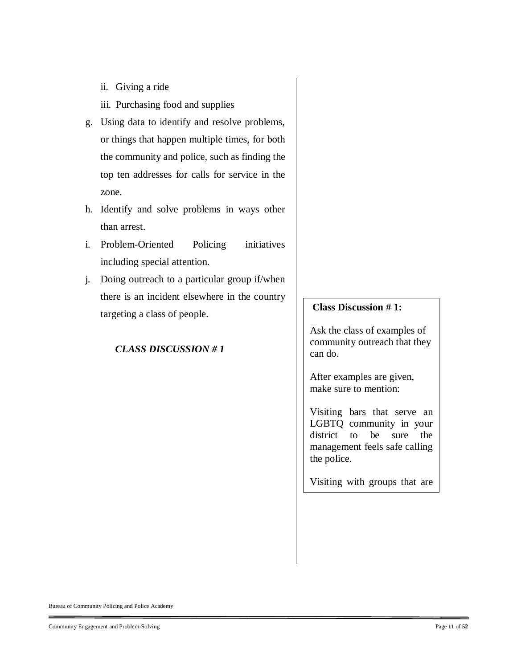- ii. Giving a ride
- iii. Purchasing food and supplies
- g. Using data to identify and resolve problems, or things that happen multiple times, for both the community and police, such as finding the top ten addresses for calls for service in the zone.
- h. Identify and solve problems in ways other than arrest.
- i. Problem-Oriented Policing initiatives including special attention.
- j. Doing outreach to a particular group if/when there is an incident elsewhere in the country targeting a class of people.

#### **Class Discussion # 1:**

Ask the class of examples of community outreach that they can do.

After examples are given, make sure to mention:

Visiting bars that serve an LGBTQ community in your district to be sure the management feels safe calling the police.

Visiting with groups that are likely victims of hate crimes.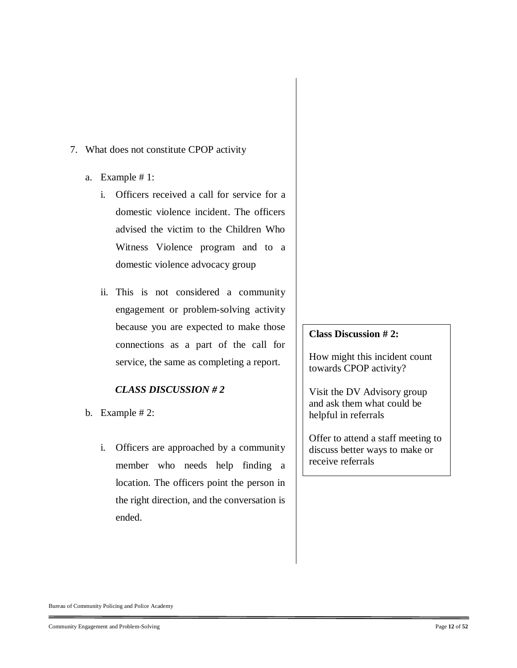- 7. What does not constitute CPOP activity
	- a. Example # 1:
		- i. Officers received a call for service for a domestic violence incident. The officers advised the victim to the Children Who Witness Violence program and to a domestic violence advocacy group
		- ii. This is not considered a community engagement or problem-solving activity because you are expected to make those connections as a part of the call for service, the same as completing a report.

- b. Example # 2:
	- i. Officers are approached by a community member who needs help finding a location. The officers point the person in the right direction, and the conversation is ended.

#### **Class Discussion # 2:**

How might this incident count towards CPOP activity?

Visit the DV Advisory group and ask them what could be helpful in referrals

Offer to attend a staff meeting to discuss better ways to make or receive referrals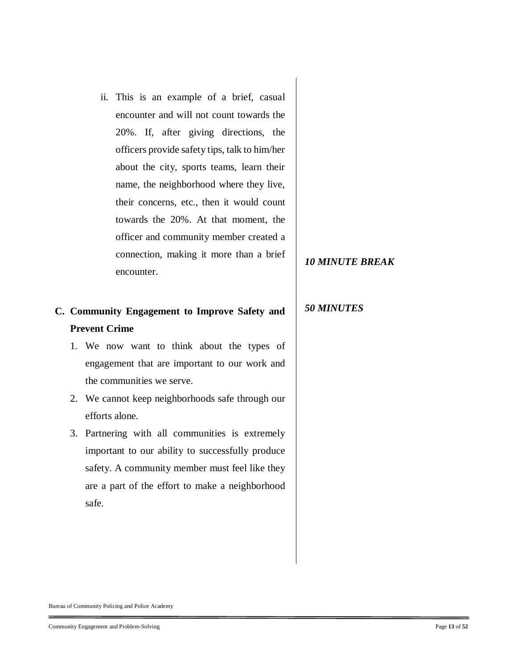ii. This is an example of a brief, casual encounter and will not count towards the 20%. If, after giving directions, the officers provide safety tips, talk to him/her about the city, sports teams, learn their name, the neighborhood where they live, their concerns, etc., then it would count towards the 20%. At that moment, the officer and community member created a connection, making it more than a brief encounter.

# **C. Community Engagement to Improve Safety and Prevent Crime**

- 1. We now want to think about the types of engagement that are important to our work and the communities we serve.
- 2. We cannot keep neighborhoods safe through our efforts alone.
- 3. Partnering with all communities is extremely important to our ability to successfully produce safety. A community member must feel like they are a part of the effort to make a neighborhood safe.

### *10 MINUTE BREAK*

### *50 MINUTES*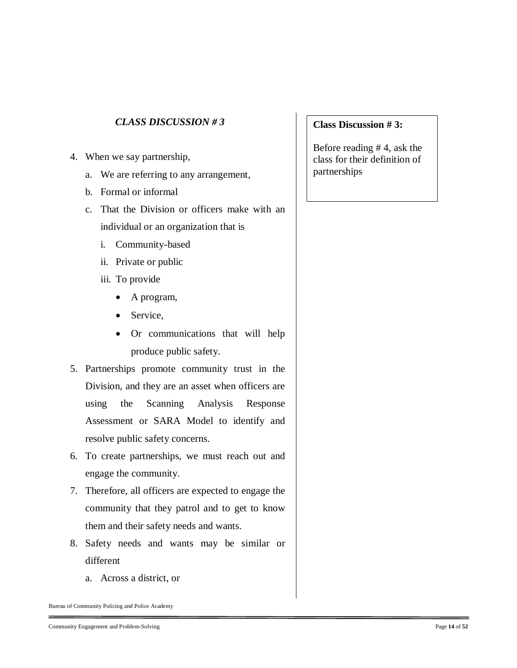- 4. When we say partnership,
	- a. We are referring to any arrangement,
	- b. Formal or informal
	- c. That the Division or officers make with an individual or an organization that is
		- i. Community-based
		- ii. Private or public
		- iii. To provide
			- A program,
			- Service,
			- Or communications that will help produce public safety.
- 5. Partnerships promote community trust in the Division, and they are an asset when officers are using the Scanning Analysis Response Assessment or SARA Model to identify and resolve public safety concerns.
- 6. To create partnerships, we must reach out and engage the community.
- 7. Therefore, all officers are expected to engage the community that they patrol and to get to know them and their safety needs and wants.
- 8. Safety needs and wants may be similar or different
	- a. Across a district, or

Bureau of Community Policing and Police Academy

#### **Class Discussion # 3:**

Before reading # 4, ask the class for their definition of partnerships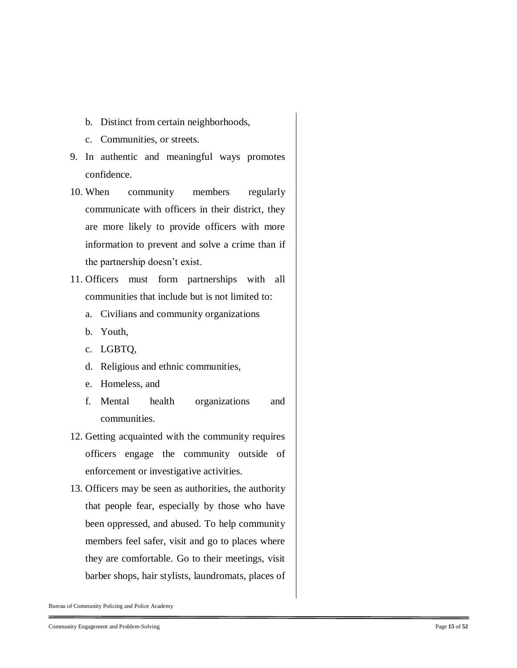- b. Distinct from certain neighborhoods,
- c. Communities, or streets.
- 9. In authentic and meaningful ways promotes confidence.
- 10. When community members regularly communicate with officers in their district, they are more likely to provide officers with more information to prevent and solve a crime than if the partnership doesn't exist.
- 11. Officers must form partnerships with all communities that include but is not limited to:
	- a. Civilians and community organizations
	- b. Youth,
	- c. LGBTQ,
	- d. Religious and ethnic communities,
	- e. Homeless, and
	- f. Mental health organizations and communities.
- 12. Getting acquainted with the community requires officers engage the community outside of enforcement or investigative activities.
- 13. Officers may be seen as authorities, the authority that people fear, especially by those who have been oppressed, and abused. To help community members feel safer, visit and go to places where they are comfortable. Go to their meetings, visit barber shops, hair stylists, laundromats, places of

Bureau of Community Policing and Police Academy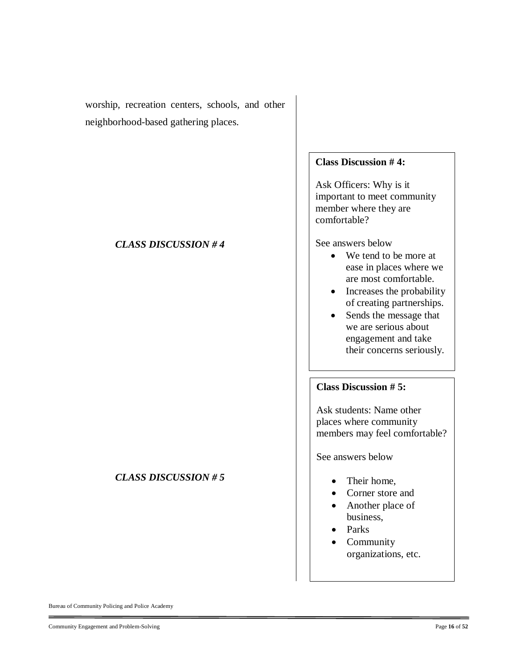worship, recreation centers, schools, and other neighborhood-based gathering places.

### *CLASS DISCUSSION # 4*

### *CLASS DISCUSSION # 5*

#### **Class Discussion # 4:**

Ask Officers: Why is it important to meet community member where they are comfortable?

#### See answers below

- We tend to be more at ease in places where we are most comfortable.
- Increases the probability of creating partnerships.
- Sends the message that we are serious about engagement and take their concerns seriously.

#### **Class Discussion # 5:**

Ask students: Name other places where community members may feel comfortable?

#### See answers below

- Their home.
- Corner store and
- Another place of business,
- Parks
- Community organizations, etc.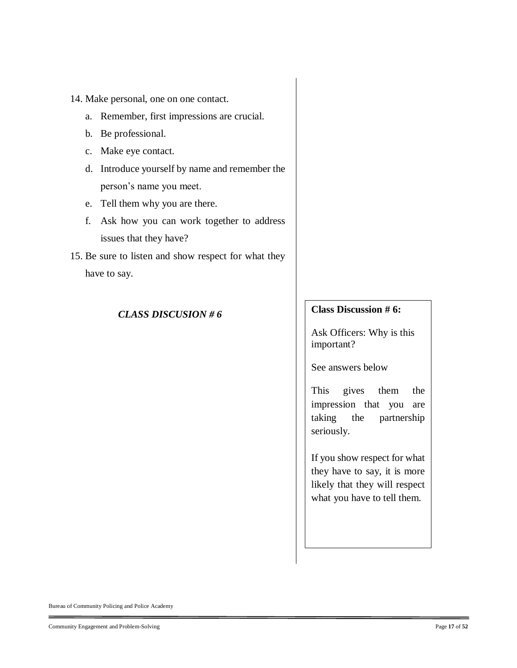- 14. Make personal, one on one contact.
	- a. Remember, first impressions are crucial.
	- b. Be professional.
	- c. Make eye contact.
	- d. Introduce yourself by name and remember the person's name you meet.
	- e. Tell them why you are there.
	- f. Ask how you can work together to address issues that they have?
- 15. Be sure to listen and show respect for what they have to say.

#### **Class Discussion # 6:**

Ask Officers: Why is this important?

See answers below

This gives them the impression that you are taking the partnership seriously.

If you show respect for what they have to say, it is more likely that they will respect what you have to tell them.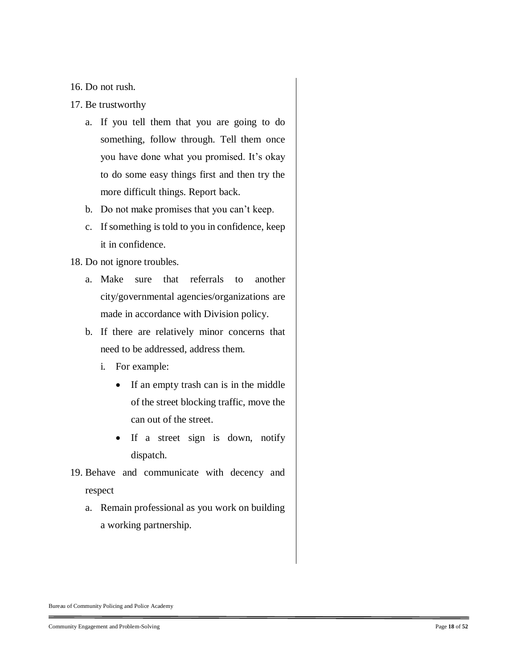16. Do not rush.

17. Be trustworthy

- a. If you tell them that you are going to do something, follow through. Tell them once you have done what you promised. It's okay to do some easy things first and then try the more difficult things. Report back.
- b. Do not make promises that you can't keep.
- c. If something is told to you in confidence, keep it in confidence.

18. Do not ignore troubles.

- a. Make sure that referrals to another city/governmental agencies/organizations are made in accordance with Division policy.
- b. If there are relatively minor concerns that need to be addressed, address them.
	- i. For example:
		- If an empty trash can is in the middle of the street blocking traffic, move the can out of the street.
		- If a street sign is down, notify dispatch.
- 19. Behave and communicate with decency and respect
	- a. Remain professional as you work on building a working partnership.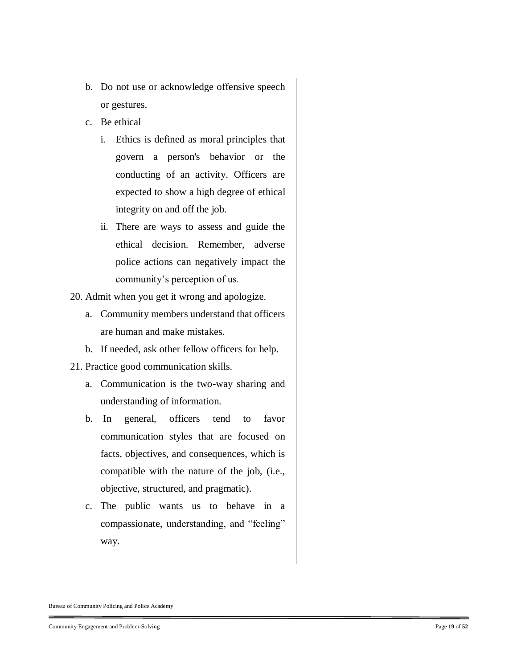- b. Do not use or acknowledge offensive speech or gestures.
- c. Be ethical
	- i. Ethics is defined as moral principles that govern a person's behavior or the conducting of an activity. Officers are expected to show a high degree of ethical integrity on and off the job.
	- ii. There are ways to assess and guide the ethical decision. Remember, adverse police actions can negatively impact the community's perception of us.

20. Admit when you get it wrong and apologize.

- a. Community members understand that officers are human and make mistakes.
- b. If needed, ask other fellow officers for help.
- 21. Practice good communication skills.
	- a. Communication is the two-way sharing and understanding of information.
	- b. In general, officers tend to favor communication styles that are focused on facts, objectives, and consequences, which is compatible with the nature of the job, (i.e., objective, structured, and pragmatic).
	- c. The public wants us to behave in a compassionate, understanding, and "feeling" way.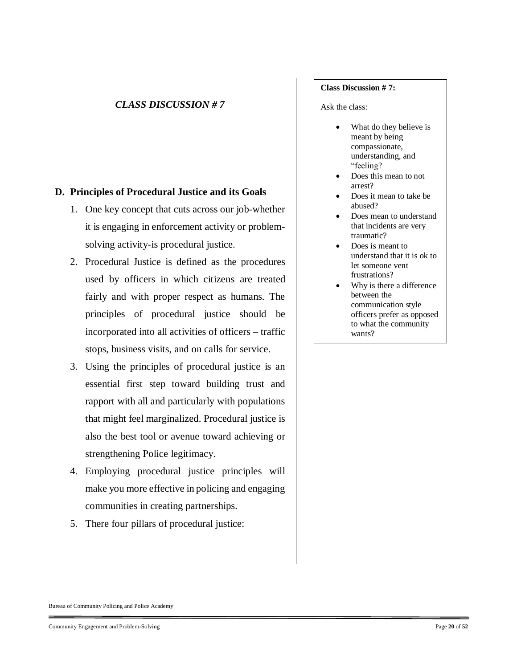#### **D. Principles of Procedural Justice and its Goals**

- 1. One key concept that cuts across our job-whether it is engaging in enforcement activity or problemsolving activity-is procedural justice.
- 2. Procedural Justice is defined as the procedures used by officers in which citizens are treated fairly and with proper respect as humans. The principles of procedural justice should be incorporated into all activities of officers – traffic stops, business visits, and on calls for service.
- 3. Using the principles of procedural justice is an essential first step toward building trust and rapport with all and particularly with populations that might feel marginalized. Procedural justice is also the best tool or avenue toward achieving or strengthening Police legitimacy.
- 4. Employing procedural justice principles will make you more effective in policing and engaging communities in creating partnerships.
- 5. There four pillars of procedural justice:

#### **Class Discussion # 7:**

Ask the class:

- What do they believe is meant by being compassionate, understanding, and "feeling?
- Does this mean to not arrest?
- Does it mean to take be abused?
- Does mean to understand that incidents are very traumatic?
- Does is meant to understand that it is ok to let someone vent frustrations?
- Why is there a difference between the communication style officers prefer as opposed to what the community wants?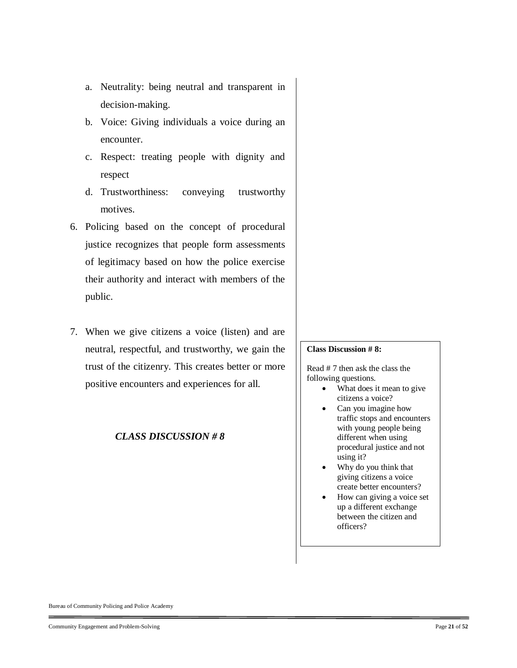- a. Neutrality: being neutral and transparent in decision-making.
- b. Voice: Giving individuals a voice during an encounter.
- c. Respect: treating people with dignity and respect
- d. Trustworthiness: conveying trustworthy motives.
- 6. Policing based on the concept of procedural justice recognizes that people form assessments of legitimacy based on how the police exercise their authority and interact with members of the public.
- 7. When we give citizens a voice (listen) and are neutral, respectful, and trustworthy, we gain the trust of the citizenry. This creates better or more positive encounters and experiences for all.

#### **Class Discussion # 8:**

Read # 7 then ask the class the following questions.

- What does it mean to give citizens a voice?
- Can you imagine how traffic stops and encounters with young people being different when using procedural justice and not using it?
- Why do you think that giving citizens a voice create better encounters?
- How can giving a voice set up a different exchange between the citizen and officers?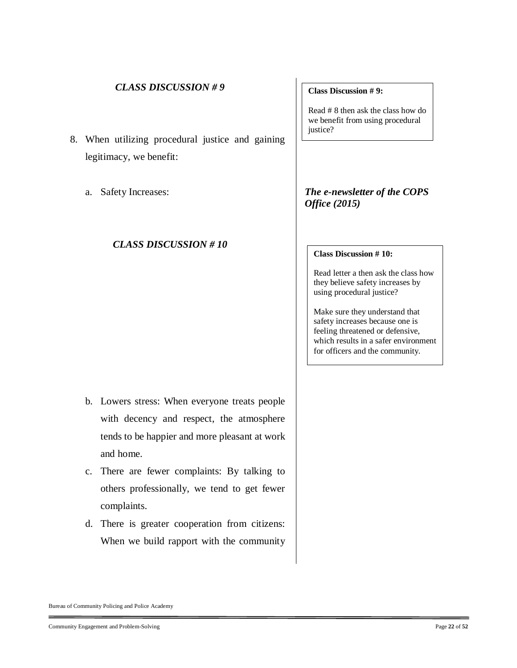- 8. When utilizing procedural justice and gaining legitimacy, we benefit:
	- a. Safety Increases:

#### *CLASS DISCUSSION # 10*

- b. Lowers stress: When everyone treats people with decency and respect, the atmosphere tends to be happier and more pleasant at work and home.
- c. There are fewer complaints: By talking to others professionally, we tend to get fewer complaints.
- d. There is greater cooperation from citizens: When we build rapport with the community

#### **Class Discussion # 9:**

Read # 8 then ask the class how do we benefit from using procedural justice?

### *The e-newsletter of the COPS Office (2015)*

#### **Class Discussion # 10:**

Read letter a then ask the class how they believe safety increases by using procedural justice?

Make sure they understand that safety increases because one is feeling threatened or defensive, which results in a safer environment for officers and the community.

Bureau of Community Policing and Police Academy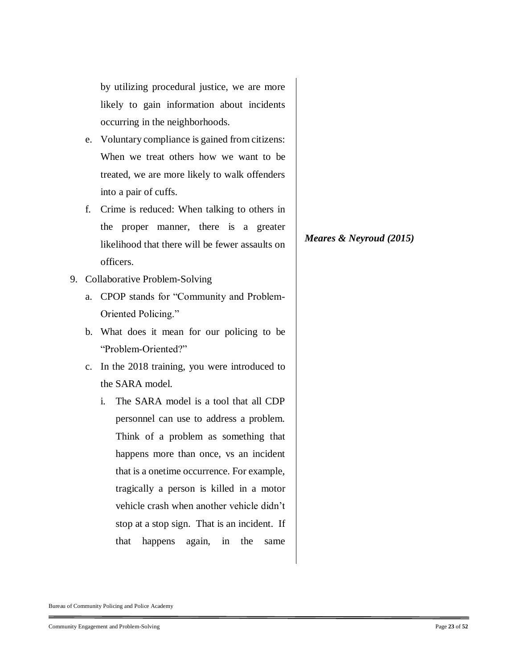by utilizing procedural justice, we are more likely to gain information about incidents occurring in the neighborhoods.

- e. Voluntary compliance is gained from citizens: When we treat others how we want to be treated, we are more likely to walk offenders into a pair of cuffs.
- f. Crime is reduced: When talking to others in the proper manner, there is a greater likelihood that there will be fewer assaults on officers.
- 9. Collaborative Problem-Solving
	- a. CPOP stands for "Community and Problem-Oriented Policing."
	- b. What does it mean for our policing to be "Problem-Oriented?"
	- c. In the 2018 training, you were introduced to the SARA model.
		- i. The SARA model is a tool that all CDP personnel can use to address a problem. Think of a problem as something that happens more than once, vs an incident that is a onetime occurrence. For example, tragically a person is killed in a motor vehicle crash when another vehicle didn't stop at a stop sign. That is an incident. If that happens again, in the same

*Meares & Neyroud (2015)*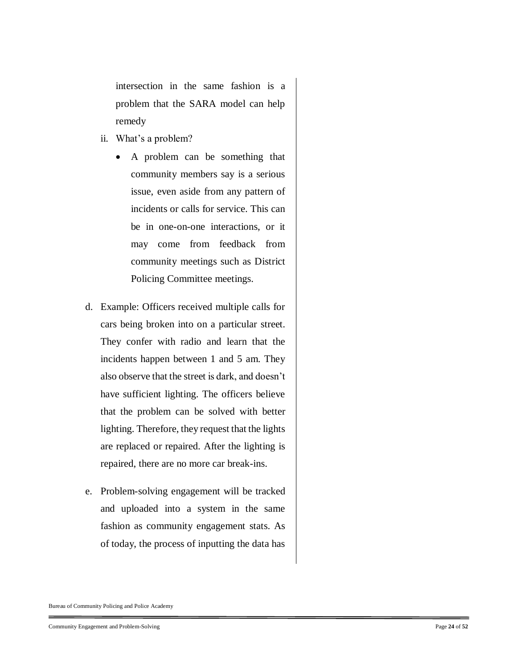intersection in the same fashion is a problem that the SARA model can help remedy

- ii. What's a problem?
	- A problem can be something that community members say is a serious issue, even aside from any pattern of incidents or calls for service. This can be in one-on-one interactions, or it may come from feedback from community meetings such as District Policing Committee meetings.
- d. Example: Officers received multiple calls for cars being broken into on a particular street. They confer with radio and learn that the incidents happen between 1 and 5 am. They also observe that the street is dark, and doesn't have sufficient lighting. The officers believe that the problem can be solved with better lighting. Therefore, they request that the lights are replaced or repaired. After the lighting is repaired, there are no more car break-ins.
- e. Problem-solving engagement will be tracked and uploaded into a system in the same fashion as community engagement stats. As of today, the process of inputting the data has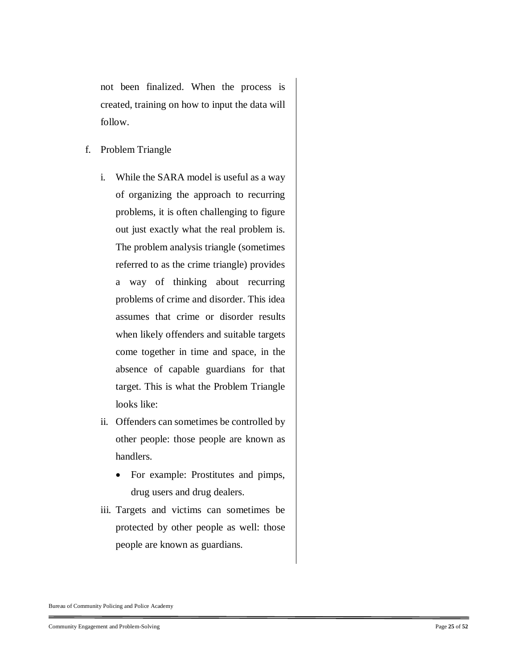not been finalized. When the process is created, training on how to input the data will follow.

- f. Problem Triangle
	- i. While the SARA model is useful as a way of organizing the approach to recurring problems, it is often challenging to figure out just exactly what the real problem is. The problem analysis triangle (sometimes referred to as the crime triangle) provides a way of thinking about recurring problems of crime and disorder. This idea assumes that crime or disorder results when likely offenders and suitable targets come together in time and space, in the absence of capable guardians for that target. This is what the Problem Triangle looks like:
	- ii. Offenders can sometimes be controlled by other people: those people are known as handlers.
		- For example: Prostitutes and pimps, drug users and drug dealers.
	- iii. Targets and victims can sometimes be protected by other people as well: those people are known as guardians.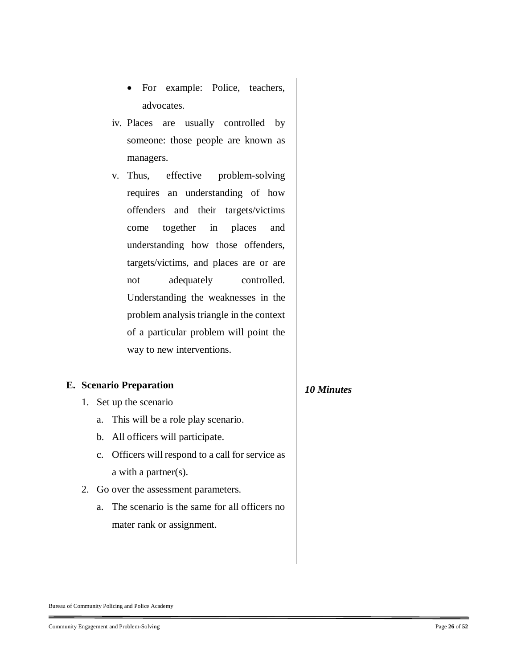- For example: Police, teachers, advocates.
- iv. Places are usually controlled by someone: those people are known as managers.
- v. Thus, effective problem-solving requires an understanding of how offenders and their targets/victims come together in places and understanding how those offenders, targets/victims, and places are or are not adequately controlled. Understanding the weaknesses in the problem analysis triangle in the context of a particular problem will point the way to new interventions.

# **E. Scenario Preparation**

- 1. Set up the scenario
	- a. This will be a role play scenario.
	- b. All officers will participate.
	- c. Officers will respond to a call for service as a with a partner(s).
- 2. Go over the assessment parameters.
	- a. The scenario is the same for all officers no mater rank or assignment.

### *10 Minutes*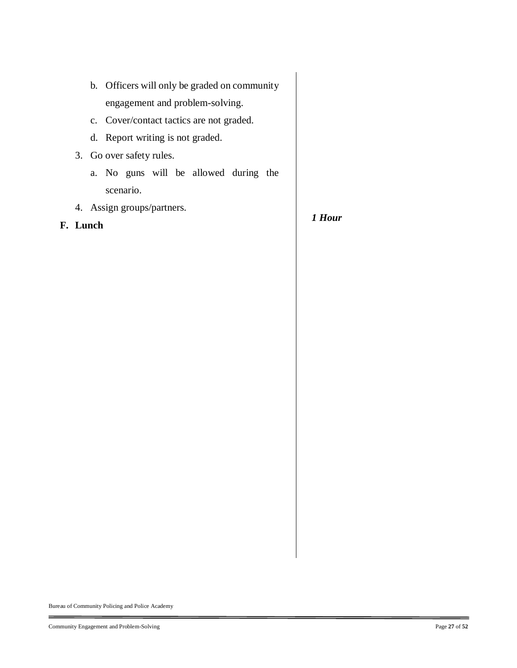- b. Officers will only be graded on community engagement and problem-solving.
- c. Cover/contact tactics are not graded.
- d. Report writing is not graded.
- 3. Go over safety rules.
	- a. No guns will be allowed during the scenario.
- 4. Assign groups/partners.
- **F. Lunch**

*1 Hour*

L.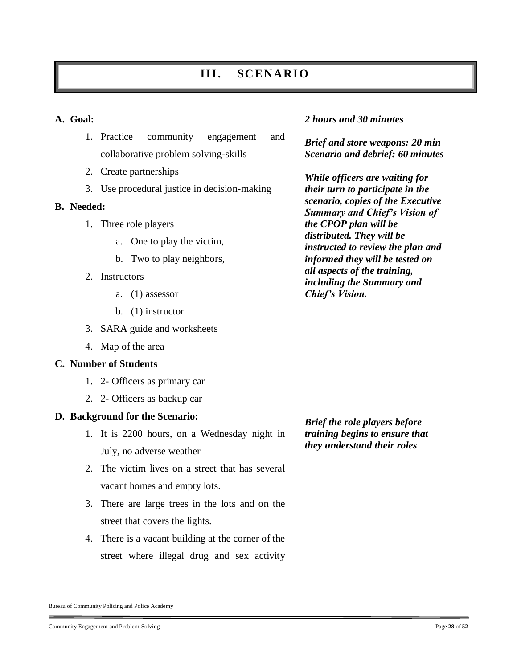# **III. SCE NARI O**

#### **A. Goal:**

- 1. Practice community engagement and collaborative problem solving-skills
- 2. Create partnerships
- 3. Use procedural justice in decision-making

#### **B. Needed:**

- 1. Three role players
	- a. One to play the victim,
	- b. Two to play neighbors,
- 2. Instructors
	- a. (1) assessor
	- b. (1) instructor
- 3. SARA guide and worksheets
- 4. Map of the area

#### **C. Number of Students**

- 1. 2- Officers as primary car
- 2. 2- Officers as backup car

### **D. Background for the Scenario:**

- 1. It is 2200 hours, on a Wednesday night in July, no adverse weather
- 2. The victim lives on a street that has several vacant homes and empty lots.
- 3. There are large trees in the lots and on the street that covers the lights.
- 4. There is a vacant building at the corner of the street where illegal drug and sex activity

#### *2 hours and 30 minutes*

*Brief and store weapons: 20 min Scenario and debrief: 60 minutes*

*While officers are waiting for their turn to participate in the scenario, copies of the Executive Summary and Chief's Vision of the CPOP plan will be distributed. They will be instructed to review the plan and informed they will be tested on all aspects of the training, including the Summary and Chief's Vision.*

*Brief the role players before training begins to ensure that they understand their roles*

Bureau of Community Policing and Police Academy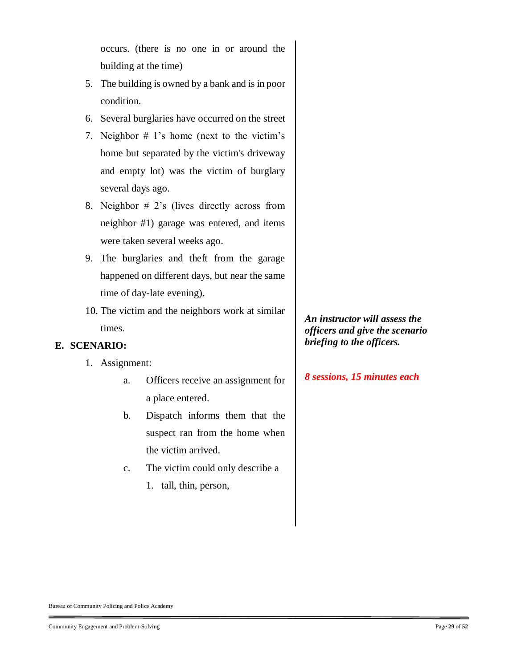occurs. (there is no one in or around the building at the time)

- 5. The building is owned by a bank and is in poor condition.
- 6. Several burglaries have occurred on the street
- 7. Neighbor  $# 1$ 's home (next to the victim's home but separated by the victim's driveway and empty lot) was the victim of burglary several days ago.
- 8. Neighbor # 2's (lives directly across from neighbor #1) garage was entered, and items were taken several weeks ago.
- 9. The burglaries and theft from the garage happened on different days, but near the same time of day-late evening).
- 10. The victim and the neighbors work at similar times.

### **E. SCENARIO:**

- 1. Assignment:
	- a. Officers receive an assignment for a place entered.
	- b. Dispatch informs them that the suspect ran from the home when the victim arrived.
	- c. The victim could only describe a 1. tall, thin, person,

*An instructor will assess the officers and give the scenario briefing to the officers.*

*8 sessions, 15 minutes each*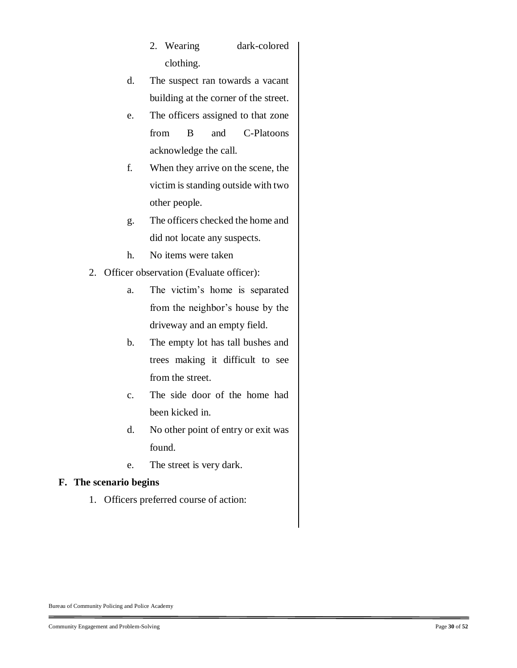- 2. Wearing dark-colored clothing.
- d. The suspect ran towards a vacant building at the corner of the street.
- e. The officers assigned to that zone from B and C-Platoons acknowledge the call.
- f. When they arrive on the scene, the victim is standing outside with two other people.
- g. The officers checked the home and did not locate any suspects.
- h. No items were taken
- 2. Officer observation (Evaluate officer):
	- a. The victim's home is separated from the neighbor's house by the driveway and an empty field.
	- b. The empty lot has tall bushes and trees making it difficult to see from the street.
	- c. The side door of the home had been kicked in.
	- d. No other point of entry or exit was found.
	- e. The street is very dark.

### **F. The scenario begins**

1. Officers preferred course of action:

Bureau of Community Policing and Police Academy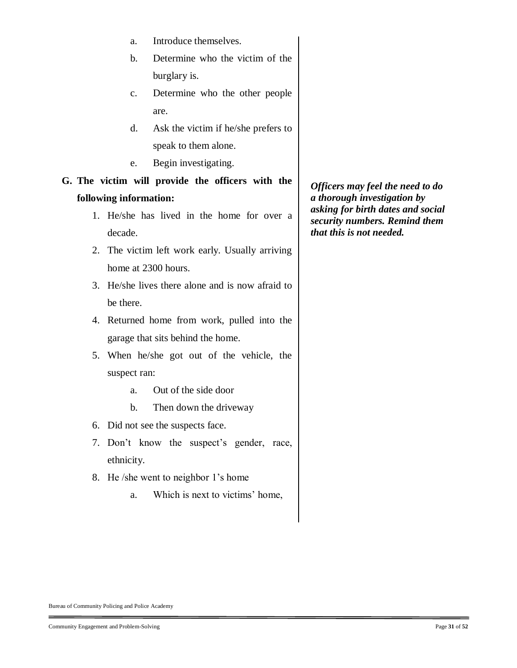- a. Introduce themselves.
- b. Determine who the victim of the burglary is.
- c. Determine who the other people are.
- d. Ask the victim if he/she prefers to speak to them alone.
- e. Begin investigating.

# **G. The victim will provide the officers with the following information:**

- 1. He/she has lived in the home for over a decade.
- 2. The victim left work early. Usually arriving home at 2300 hours.
- 3. He/she lives there alone and is now afraid to be there.
- 4. Returned home from work, pulled into the garage that sits behind the home.
- 5. When he/she got out of the vehicle, the suspect ran:
	- a. Out of the side door
	- b. Then down the driveway
- 6. Did not see the suspects face.
- 7. Don't know the suspect's gender, race, ethnicity.
- 8. He /she went to neighbor 1's home
	- a. Which is next to victims' home,

*Officers may feel the need to do a thorough investigation by asking for birth dates and social security numbers. Remind them that this is not needed.*

Bureau of Community Policing and Police Academy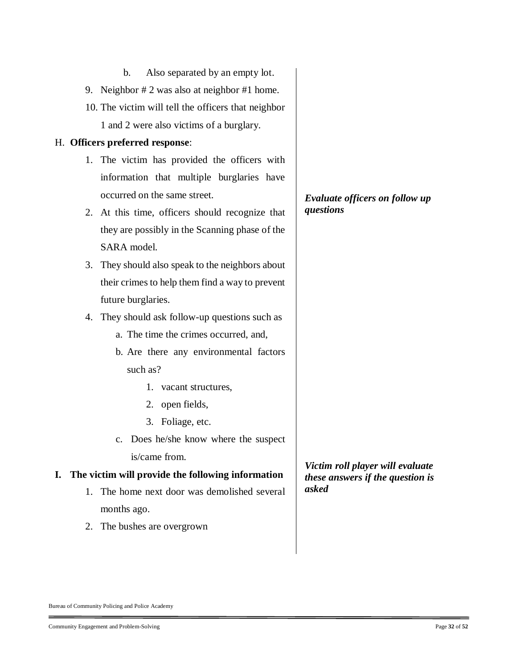- b. Also separated by an empty lot.
- 9. Neighbor # 2 was also at neighbor #1 home.
- 10. The victim will tell the officers that neighbor 1 and 2 were also victims of a burglary.

### H. **Officers preferred response**:

- 1. The victim has provided the officers with information that multiple burglaries have occurred on the same street.
- 2. At this time, officers should recognize that they are possibly in the Scanning phase of the SARA model.
- 3. They should also speak to the neighbors about their crimes to help them find a way to prevent future burglaries.
- 4. They should ask follow-up questions such as
	- a. The time the crimes occurred, and,
	- b. Are there any environmental factors such as?
		- 1. vacant structures,
		- 2. open fields,
		- 3. Foliage, etc.
	- c. Does he/she know where the suspect is/came from.

# **I. The victim will provide the following information**

- 1. The home next door was demolished several months ago.
- 2. The bushes are overgrown

### *Evaluate officers on follow up questions*

*Victim roll player will evaluate these answers if the question is asked*

Bureau of Community Policing and Police Academy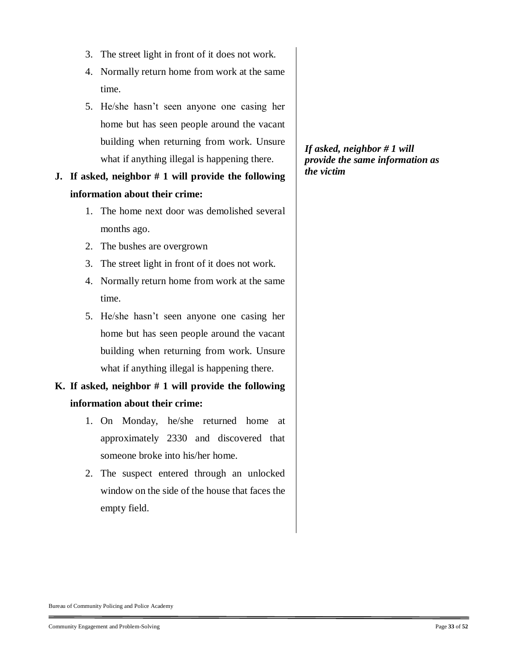- 3. The street light in front of it does not work.
- 4. Normally return home from work at the same time.
- 5. He/she hasn't seen anyone one casing her home but has seen people around the vacant building when returning from work. Unsure what if anything illegal is happening there.
- **J. If asked, neighbor # 1 will provide the following information about their crime:**
	- 1. The home next door was demolished several months ago.
	- 2. The bushes are overgrown
	- 3. The street light in front of it does not work.
	- 4. Normally return home from work at the same time.
	- 5. He/she hasn't seen anyone one casing her home but has seen people around the vacant building when returning from work. Unsure what if anything illegal is happening there.

# **K. If asked, neighbor # 1 will provide the following information about their crime:**

- 1. On Monday, he/she returned home at approximately 2330 and discovered that someone broke into his/her home.
- 2. The suspect entered through an unlocked window on the side of the house that faces the empty field.

*If asked, neighbor # 1 will provide the same information as the victim*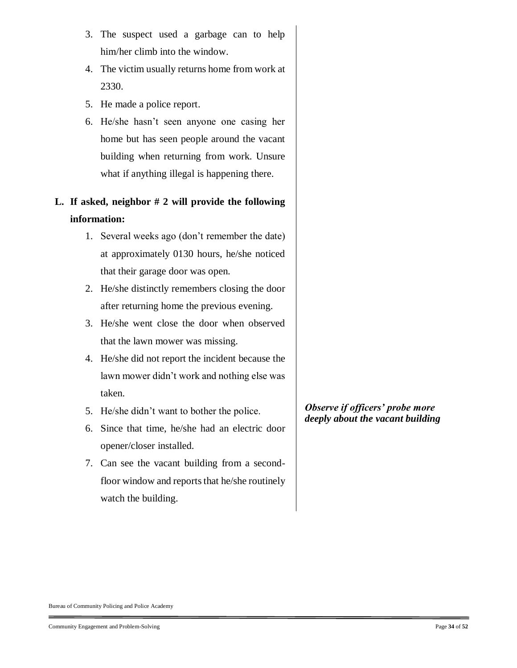- 3. The suspect used a garbage can to help him/her climb into the window.
- 4. The victim usually returns home from work at 2330.
- 5. He made a police report.
- 6. He/she hasn't seen anyone one casing her home but has seen people around the vacant building when returning from work. Unsure what if anything illegal is happening there.

# **L. If asked, neighbor # 2 will provide the following information:**

- 1. Several weeks ago (don't remember the date) at approximately 0130 hours, he/she noticed that their garage door was open.
- 2. He/she distinctly remembers closing the door after returning home the previous evening.
- 3. He/she went close the door when observed that the lawn mower was missing.
- 4. He/she did not report the incident because the lawn mower didn't work and nothing else was taken.
- 5. He/she didn't want to bother the police.
- 6. Since that time, he/she had an electric door opener/closer installed.
- 7. Can see the vacant building from a secondfloor window and reports that he/she routinely watch the building.

*Observe if officers' probe more deeply about the vacant building*

Bureau of Community Policing and Police Academy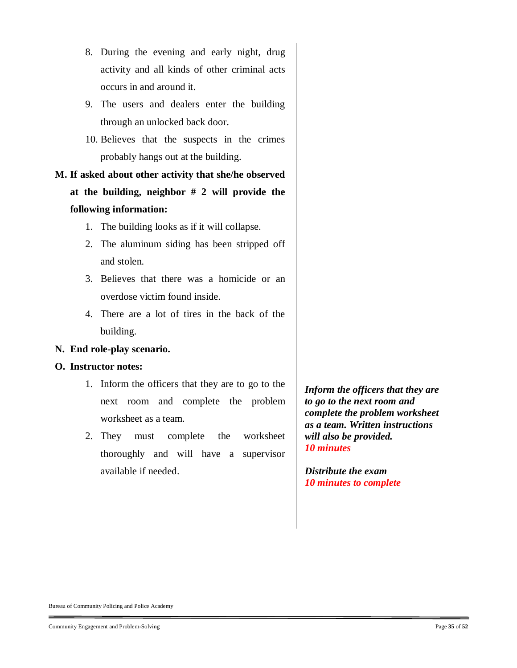- 8. During the evening and early night, drug activity and all kinds of other criminal acts occurs in and around it.
- 9. The users and dealers enter the building through an unlocked back door.
- 10. Believes that the suspects in the crimes probably hangs out at the building.
- **M. If asked about other activity that she/he observed at the building, neighbor # 2 will provide the following information:**
	- 1. The building looks as if it will collapse.
	- 2. The aluminum siding has been stripped off and stolen.
	- 3. Believes that there was a homicide or an overdose victim found inside.
	- 4. There are a lot of tires in the back of the building.

### **N. End role-play scenario.**

### **O. Instructor notes:**

- 1. Inform the officers that they are to go to the next room and complete the problem worksheet as a team.
- 2. They must complete the worksheet thoroughly and will have a supervisor available if needed.

*Inform the officers that they are to go to the next room and complete the problem worksheet as a team. Written instructions will also be provided. 10 minutes*

*Distribute the exam 10 minutes to complete*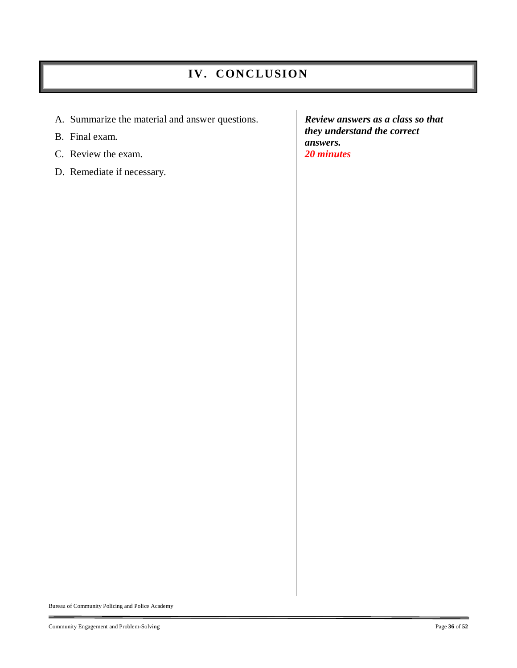- A. Summarize the material and answer questions.
- B. Final exam.
- C. Review the exam.
- D. Remediate if necessary.

*Review answers as a class so that they understand the correct answers. 20 minutes*

Bureau of Community Policing and Police Academy

L,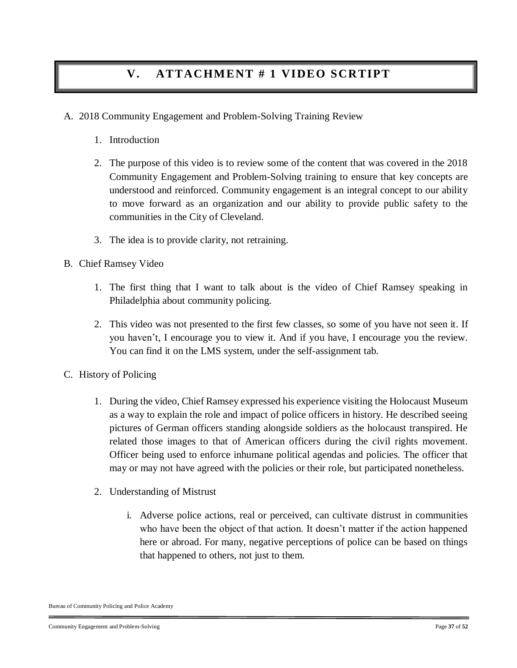# **V.** ATTACHMENT # 1 VIDEO SCRTIPT

- A. 2018 Community Engagement and Problem-Solving Training Review
	- 1. Introduction
	- 2. The purpose of this video is to review some of the content that was covered in the 2018 Community Engagement and Problem-Solving training to ensure that key concepts are understood and reinforced. Community engagement is an integral concept to our ability to move forward as an organization and our ability to provide public safety to the communities in the City of Cleveland.
	- 3. The idea is to provide clarity, not retraining.
- B. Chief Ramsey Video
	- 1. The first thing that I want to talk about is the video of Chief Ramsey speaking in Philadelphia about community policing.
	- 2. This video was not presented to the first few classes, so some of you have not seen it. If you haven't, I encourage you to view it. And if you have, I encourage you the review. You can find it on the LMS system, under the self-assignment tab.
- C. History of Policing
	- 1. During the video, Chief Ramsey expressed his experience visiting the Holocaust Museum as a way to explain the role and impact of police officers in history. He described seeing pictures of German officers standing alongside soldiers as the holocaust transpired. He related those images to that of American officers during the civil rights movement. Officer being used to enforce inhumane political agendas and policies. The officer that may or may not have agreed with the policies or their role, but participated nonetheless.
	- 2. Understanding of Mistrust
		- i. Adverse police actions, real or perceived, can cultivate distrust in communities who have been the object of that action. It doesn't matter if the action happened here or abroad. For many, negative perceptions of police can be based on things that happened to others, not just to them.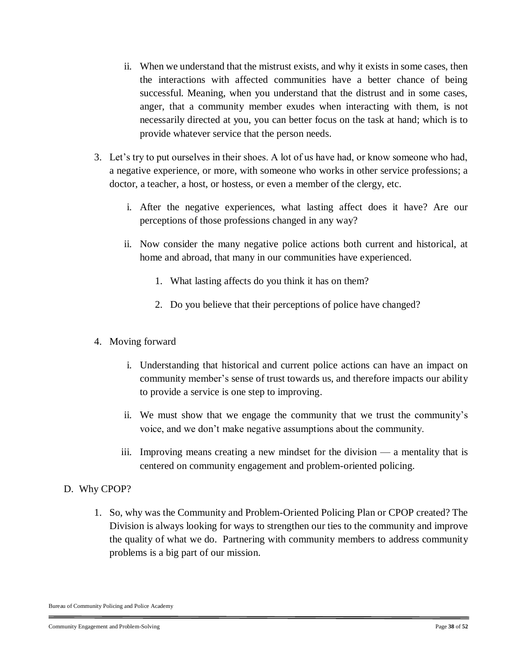- ii. When we understand that the mistrust exists, and why it exists in some cases, then the interactions with affected communities have a better chance of being successful. Meaning, when you understand that the distrust and in some cases, anger, that a community member exudes when interacting with them, is not necessarily directed at you, you can better focus on the task at hand; which is to provide whatever service that the person needs.
- 3. Let's try to put ourselves in their shoes. A lot of us have had, or know someone who had, a negative experience, or more, with someone who works in other service professions; a doctor, a teacher, a host, or hostess, or even a member of the clergy, etc.
	- i. After the negative experiences, what lasting affect does it have? Are our perceptions of those professions changed in any way?
	- ii. Now consider the many negative police actions both current and historical, at home and abroad, that many in our communities have experienced.
		- 1. What lasting affects do you think it has on them?
		- 2. Do you believe that their perceptions of police have changed?
- 4. Moving forward
	- i. Understanding that historical and current police actions can have an impact on community member's sense of trust towards us, and therefore impacts our ability to provide a service is one step to improving.
	- ii. We must show that we engage the community that we trust the community's voice, and we don't make negative assumptions about the community.
	- iii. Improving means creating a new mindset for the division a mentality that is centered on community engagement and problem-oriented policing.

### D. Why CPOP?

1. So, why was the Community and Problem-Oriented Policing Plan or CPOP created? The Division is always looking for ways to strengthen our ties to the community and improve the quality of what we do. Partnering with community members to address community problems is a big part of our mission.

Bureau of Community Policing and Police Academy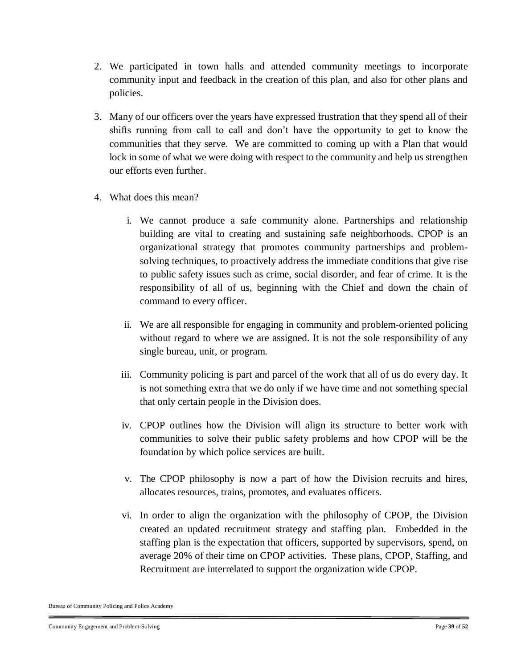- 2. We participated in town halls and attended community meetings to incorporate community input and feedback in the creation of this plan, and also for other plans and policies.
- 3. Many of our officers over the years have expressed frustration that they spend all of their shifts running from call to call and don't have the opportunity to get to know the communities that they serve. We are committed to coming up with a Plan that would lock in some of what we were doing with respect to the community and help us strengthen our efforts even further.
- 4. What does this mean?
	- i. We cannot produce a safe community alone. Partnerships and relationship building are vital to creating and sustaining safe neighborhoods. CPOP is an organizational strategy that promotes community partnerships and problemsolving techniques, to proactively address the immediate conditions that give rise to public safety issues such as crime, social disorder, and fear of crime. It is the responsibility of all of us, beginning with the Chief and down the chain of command to every officer.
	- ii. We are all responsible for engaging in community and problem-oriented policing without regard to where we are assigned. It is not the sole responsibility of any single bureau, unit, or program.
	- iii. Community policing is part and parcel of the work that all of us do every day. It is not something extra that we do only if we have time and not something special that only certain people in the Division does.
	- iv. CPOP outlines how the Division will align its structure to better work with communities to solve their public safety problems and how CPOP will be the foundation by which police services are built.
	- v. The CPOP philosophy is now a part of how the Division recruits and hires, allocates resources, trains, promotes, and evaluates officers.
	- vi. In order to align the organization with the philosophy of CPOP, the Division created an updated recruitment strategy and staffing plan. Embedded in the staffing plan is the expectation that officers, supported by supervisors, spend, on average 20% of their time on CPOP activities. These plans, CPOP, Staffing, and Recruitment are interrelated to support the organization wide CPOP.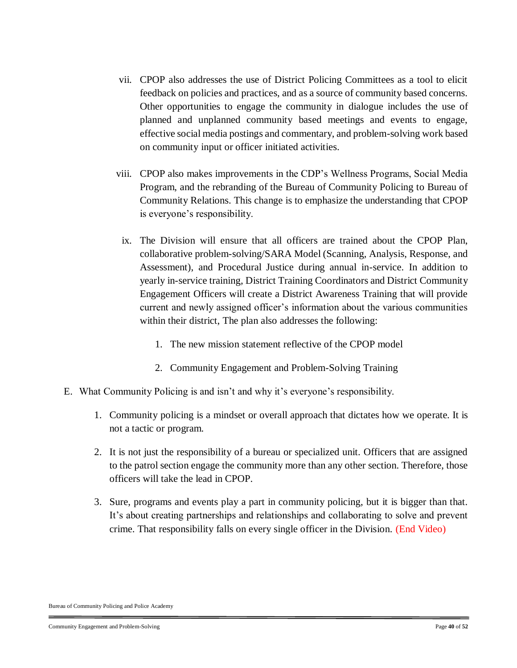- vii. CPOP also addresses the use of District Policing Committees as a tool to elicit feedback on policies and practices, and as a source of community based concerns. Other opportunities to engage the community in dialogue includes the use of planned and unplanned community based meetings and events to engage, effective social media postings and commentary, and problem-solving work based on community input or officer initiated activities.
- viii. CPOP also makes improvements in the CDP's Wellness Programs, Social Media Program, and the rebranding of the Bureau of Community Policing to Bureau of Community Relations. This change is to emphasize the understanding that CPOP is everyone's responsibility.
	- ix. The Division will ensure that all officers are trained about the CPOP Plan, collaborative problem-solving/SARA Model (Scanning, Analysis, Response, and Assessment), and Procedural Justice during annual in-service. In addition to yearly in-service training, District Training Coordinators and District Community Engagement Officers will create a District Awareness Training that will provide current and newly assigned officer's information about the various communities within their district, The plan also addresses the following:
		- 1. The new mission statement reflective of the CPOP model
		- 2. Community Engagement and Problem-Solving Training
- E. What Community Policing is and isn't and why it's everyone's responsibility.
	- 1. Community policing is a mindset or overall approach that dictates how we operate. It is not a tactic or program.
	- 2. It is not just the responsibility of a bureau or specialized unit. Officers that are assigned to the patrol section engage the community more than any other section. Therefore, those officers will take the lead in CPOP.
	- 3. Sure, programs and events play a part in community policing, but it is bigger than that. It's about creating partnerships and relationships and collaborating to solve and prevent crime. That responsibility falls on every single officer in the Division. (End Video)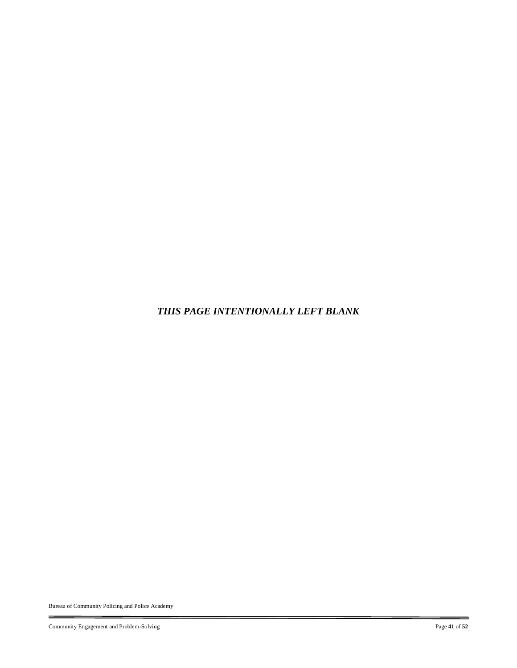*THIS PAGE INTENTIONALLY LEFT BLANK*

Bureau of Community Policing and Police Academy

 $\overline{\phantom{0}}$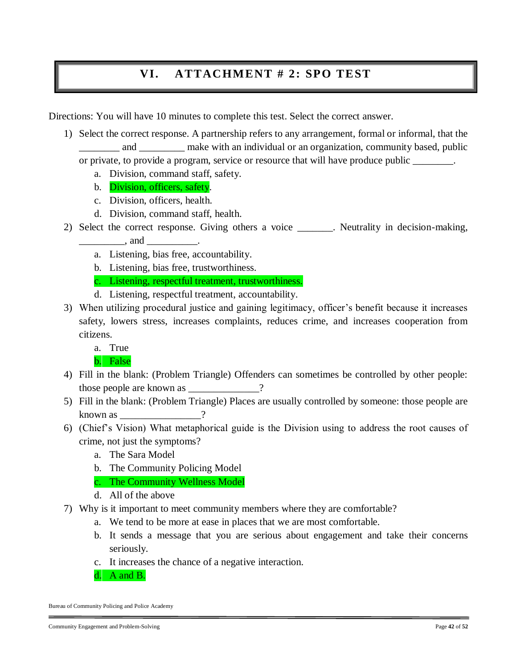# **VI.** ATTACHMENT # 2: SPO TEST

Directions: You will have 10 minutes to complete this test. Select the correct answer.

- 1) Select the correct response. A partnership refers to any arrangement, formal or informal, that the \_\_\_\_\_\_\_\_ and \_\_\_\_\_\_\_\_\_ make with an individual or an organization, community based, public or private, to provide a program, service or resource that will have produce public \_\_\_\_\_\_\_\_.
	- a. Division, command staff, safety.
	- b. Division, officers, safety.
	- c. Division, officers, health.
	- d. Division, command staff, health.
- 2) Select the correct response. Giving others a voice \_\_\_\_\_\_\_. Neutrality in decision-making,  $\ldots$ , and  $\ldots$ 
	- a. Listening, bias free, accountability.
	- b. Listening, bias free, trustworthiness.
	- c. Listening, respectful treatment, trustworthiness.
	- d. Listening, respectful treatment, accountability.
- 3) When utilizing procedural justice and gaining legitimacy, officer's benefit because it increases safety, lowers stress, increases complaints, reduces crime, and increases cooperation from citizens.
	- a. True

#### b. False

- 4) Fill in the blank: (Problem Triangle) Offenders can sometimes be controlled by other people: those people are known as 2
- 5) Fill in the blank: (Problem Triangle) Places are usually controlled by someone: those people are known as \_\_\_\_\_\_\_\_\_\_\_\_\_\_\_\_?
- 6) (Chief's Vision) What metaphorical guide is the Division using to address the root causes of crime, not just the symptoms?
	- a. The Sara Model
	- b. The Community Policing Model
	- c. The Community Wellness Model
	- d. All of the above
- 7) Why is it important to meet community members where they are comfortable?
	- a. We tend to be more at ease in places that we are most comfortable.
	- b. It sends a message that you are serious about engagement and take their concerns seriously.
	- c. It increases the chance of a negative interaction.
	- d. A and B.

Bureau of Community Policing and Police Academy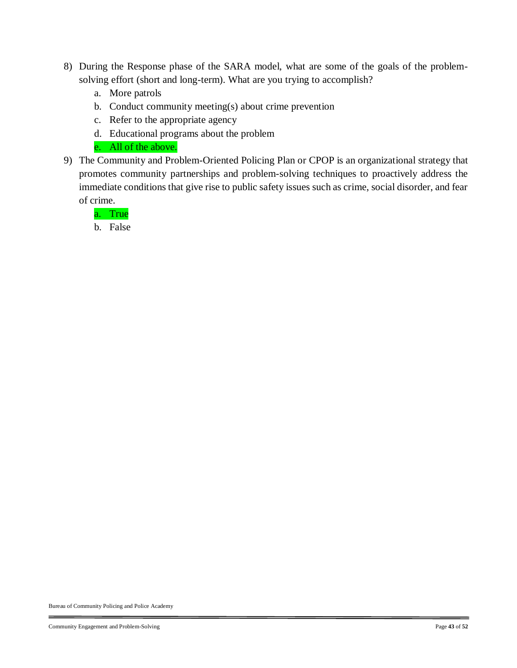- 8) During the Response phase of the SARA model, what are some of the goals of the problemsolving effort (short and long-term). What are you trying to accomplish?
	- a. More patrols
	- b. Conduct community meeting(s) about crime prevention
	- c. Refer to the appropriate agency
	- d. Educational programs about the problem
	- e. All of the above.
- 9) The Community and Problem-Oriented Policing Plan or CPOP is an organizational strategy that promotes community partnerships and problem-solving techniques to proactively address the immediate conditions that give rise to public safety issues such as crime, social disorder, and fear of crime.
	- a. True
	- b. False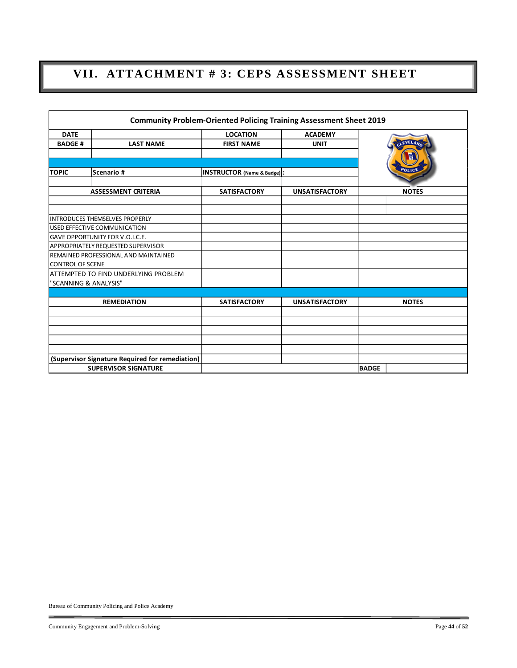# VII. ATTACHMENT # 3: CEPS ASSESSMENT SHEET

|                                      |                                                 | <b>Community Problem-Oriented Policing Training Assessment Sheet 2019</b> |                       |              |  |
|--------------------------------------|-------------------------------------------------|---------------------------------------------------------------------------|-----------------------|--------------|--|
| <b>DATE</b>                          |                                                 | <b>LOCATION</b>                                                           | <b>ACADEMY</b>        |              |  |
| <b>BADGE#</b>                        | <b>LAST NAME</b>                                | <b>FIRST NAME</b>                                                         | <b>UNIT</b>           | CLEVELA      |  |
|                                      |                                                 |                                                                           |                       |              |  |
|                                      |                                                 |                                                                           |                       |              |  |
| <b>TOPIC</b>                         | Scenario #                                      | <b>INSTRUCTOR</b> (Name & Badge):                                         |                       |              |  |
|                                      |                                                 |                                                                           |                       |              |  |
|                                      | <b>ASSESSMENT CRITERIA</b>                      | <b>SATISFACTORY</b>                                                       | <b>UNSATISFACTORY</b> | <b>NOTES</b> |  |
|                                      |                                                 |                                                                           |                       |              |  |
|                                      |                                                 |                                                                           |                       |              |  |
|                                      | <b>INTRODUCES THEMSELVES PROPERLY</b>           |                                                                           |                       |              |  |
|                                      | USED EFFECTIVE COMMUNICATION                    |                                                                           |                       |              |  |
|                                      | GAVE OPPORTUNITY FOR V.O.I.C.E.                 |                                                                           |                       |              |  |
|                                      | <b>APPROPRIATELY REQUESTED SUPERVISOR</b>       |                                                                           |                       |              |  |
| REMAINED PROFESSIONAL AND MAINTAINED |                                                 |                                                                           |                       |              |  |
| <b>CONTROL OF SCENE</b>              |                                                 |                                                                           |                       |              |  |
| ATTEMPTED TO FIND UNDERLYING PROBLEM |                                                 |                                                                           |                       |              |  |
| "SCANNING & ANALYSIS"                |                                                 |                                                                           |                       |              |  |
|                                      |                                                 |                                                                           |                       |              |  |
| <b>REMEDIATION</b>                   |                                                 | <b>SATISFACTORY</b>                                                       | <b>UNSATISFACTORY</b> | <b>NOTES</b> |  |
|                                      |                                                 |                                                                           |                       |              |  |
|                                      |                                                 |                                                                           |                       |              |  |
|                                      |                                                 |                                                                           |                       |              |  |
|                                      |                                                 |                                                                           |                       |              |  |
|                                      |                                                 |                                                                           |                       |              |  |
|                                      | (Supervisor Signature Required for remediation) |                                                                           |                       |              |  |
|                                      | <b>SUPERVISOR SIGNATURE</b>                     |                                                                           |                       | <b>BADGE</b> |  |

 $\overline{\phantom{a}}$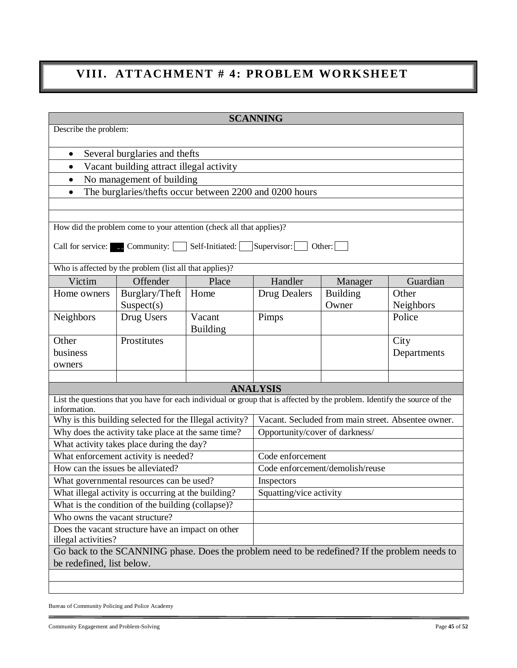# **VIII. ATTACHMENT # 4: PROBLEM WORKSHEET**

| <b>SCANNING</b>                                                                                                            |                                                                                                                           |                 |                                                    |                 |             |  |
|----------------------------------------------------------------------------------------------------------------------------|---------------------------------------------------------------------------------------------------------------------------|-----------------|----------------------------------------------------|-----------------|-------------|--|
| Describe the problem:                                                                                                      |                                                                                                                           |                 |                                                    |                 |             |  |
|                                                                                                                            |                                                                                                                           |                 |                                                    |                 |             |  |
| Several burglaries and thefts<br>$\bullet$                                                                                 |                                                                                                                           |                 |                                                    |                 |             |  |
| $\bullet$                                                                                                                  | Vacant building attract illegal activity                                                                                  |                 |                                                    |                 |             |  |
| $\bullet$                                                                                                                  | No management of building                                                                                                 |                 |                                                    |                 |             |  |
| $\bullet$                                                                                                                  | The burglaries/thefts occur between 2200 and 0200 hours                                                                   |                 |                                                    |                 |             |  |
|                                                                                                                            |                                                                                                                           |                 |                                                    |                 |             |  |
|                                                                                                                            | How did the problem come to your attention (check all that applies)?                                                      |                 |                                                    |                 |             |  |
|                                                                                                                            |                                                                                                                           |                 |                                                    |                 |             |  |
|                                                                                                                            | Call for service: Community:                                                                                              | Self-Initiated: | Supervisor:                                        | Other:          |             |  |
|                                                                                                                            | Who is affected by the problem (list all that applies)?                                                                   |                 |                                                    |                 |             |  |
| Victim                                                                                                                     | Offender                                                                                                                  | Place           | Handler                                            | Manager         | Guardian    |  |
| Home owners                                                                                                                | Burglary/Theft                                                                                                            | Home            | Drug Dealers                                       | <b>Building</b> | Other       |  |
|                                                                                                                            | Suspect(s)                                                                                                                |                 |                                                    | Owner           | Neighbors   |  |
| Neighbors                                                                                                                  | Drug Users                                                                                                                | Vacant          | Pimps                                              |                 | Police      |  |
|                                                                                                                            |                                                                                                                           | <b>Building</b> |                                                    |                 |             |  |
| Other                                                                                                                      | Prostitutes                                                                                                               |                 |                                                    |                 | City        |  |
| business                                                                                                                   |                                                                                                                           |                 |                                                    |                 | Departments |  |
| owners                                                                                                                     |                                                                                                                           |                 |                                                    |                 |             |  |
|                                                                                                                            |                                                                                                                           |                 |                                                    |                 |             |  |
|                                                                                                                            |                                                                                                                           |                 | <b>ANALYSIS</b>                                    |                 |             |  |
| information.                                                                                                               | List the questions that you have for each individual or group that is affected by the problem. Identify the source of the |                 |                                                    |                 |             |  |
| Why is this building selected for the Illegal activity?                                                                    |                                                                                                                           |                 | Vacant. Secluded from main street. Absentee owner. |                 |             |  |
|                                                                                                                            | Why does the activity take place at the same time?                                                                        |                 | Opportunity/cover of darkness/                     |                 |             |  |
| What activity takes place during the day?                                                                                  |                                                                                                                           |                 |                                                    |                 |             |  |
|                                                                                                                            | What enforcement activity is needed?                                                                                      |                 | Code enforcement                                   |                 |             |  |
| How can the issues be alleviated?                                                                                          |                                                                                                                           |                 | Code enforcement/demolish/reuse                    |                 |             |  |
| What governmental resources can be used?                                                                                   |                                                                                                                           |                 | Inspectors                                         |                 |             |  |
| What illegal activity is occurring at the building?                                                                        |                                                                                                                           |                 | Squatting/vice activity                            |                 |             |  |
| What is the condition of the building (collapse)?                                                                          |                                                                                                                           |                 |                                                    |                 |             |  |
| Who owns the vacant structure?                                                                                             |                                                                                                                           |                 |                                                    |                 |             |  |
| Does the vacant structure have an impact on other                                                                          |                                                                                                                           |                 |                                                    |                 |             |  |
| illegal activities?                                                                                                        |                                                                                                                           |                 |                                                    |                 |             |  |
| Go back to the SCANNING phase. Does the problem need to be redefined? If the problem needs to<br>be redefined, list below. |                                                                                                                           |                 |                                                    |                 |             |  |
|                                                                                                                            |                                                                                                                           |                 |                                                    |                 |             |  |
|                                                                                                                            |                                                                                                                           |                 |                                                    |                 |             |  |

Bureau of Community Policing and Police Academy

 $\overline{\phantom{a}}$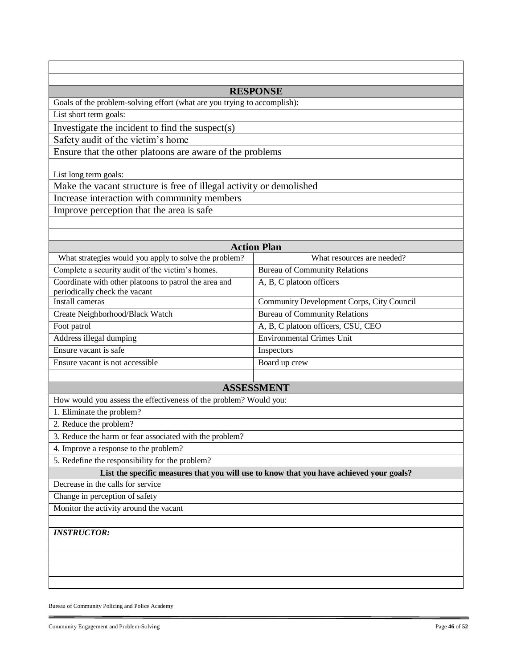#### **RESPONSE**

Goals of the problem-solving effort (what are you trying to accomplish):

List short term goals:

Investigate the incident to find the suspect(s)

Safety audit of the victim's home

Ensure that the other platoons are aware of the problems

List long term goals:

Make the vacant structure is free of illegal activity or demolished

Increase interaction with community members

Improve perception that the area is safe

| <b>Action Plan</b>                                                                     |                                           |  |  |  |  |
|----------------------------------------------------------------------------------------|-------------------------------------------|--|--|--|--|
| What strategies would you apply to solve the problem?                                  | What resources are needed?                |  |  |  |  |
| Complete a security audit of the victim's homes.                                       | <b>Bureau of Community Relations</b>      |  |  |  |  |
| Coordinate with other platoons to patrol the area and<br>periodically check the vacant | A, B, C platoon officers                  |  |  |  |  |
| Install cameras                                                                        | Community Development Corps, City Council |  |  |  |  |
| Create Neighborhood/Black Watch                                                        | <b>Bureau of Community Relations</b>      |  |  |  |  |
| Foot patrol                                                                            | A, B, C platoon officers, CSU, CEO        |  |  |  |  |
| Address illegal dumping                                                                | <b>Environmental Crimes Unit</b>          |  |  |  |  |
| Ensure vacant is safe                                                                  | Inspectors                                |  |  |  |  |
| Ensure vacant is not accessible                                                        | Board up crew                             |  |  |  |  |
|                                                                                        |                                           |  |  |  |  |

### **ASSESSMENT**

How would you assess the effectiveness of the problem? Would you:

1. Eliminate the problem?

2. Reduce the problem?

3. Reduce the harm or fear associated with the problem?

4. Improve a response to the problem?

5. Redefine the responsibility for the problem?

**List the specific measures that you will use to know that you have achieved your goals?**

Decrease in the calls for service

Change in perception of safety

Monitor the activity around the vacant

#### *INSTRUCTOR:*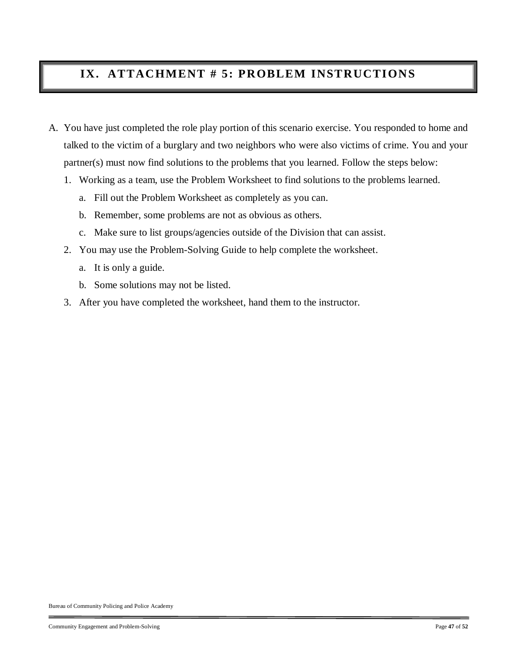# IX. ATTACHMENT # 5: PROBLEM INSTRUCTIONS

- A. You have just completed the role play portion of this scenario exercise. You responded to home and talked to the victim of a burglary and two neighbors who were also victims of crime. You and your partner(s) must now find solutions to the problems that you learned. Follow the steps below:
	- 1. Working as a team, use the Problem Worksheet to find solutions to the problems learned.
		- a. Fill out the Problem Worksheet as completely as you can.
		- b. Remember, some problems are not as obvious as others.
		- c. Make sure to list groups/agencies outside of the Division that can assist.
	- 2. You may use the Problem-Solving Guide to help complete the worksheet.
		- a. It is only a guide.
		- b. Some solutions may not be listed.
	- 3. After you have completed the worksheet, hand them to the instructor.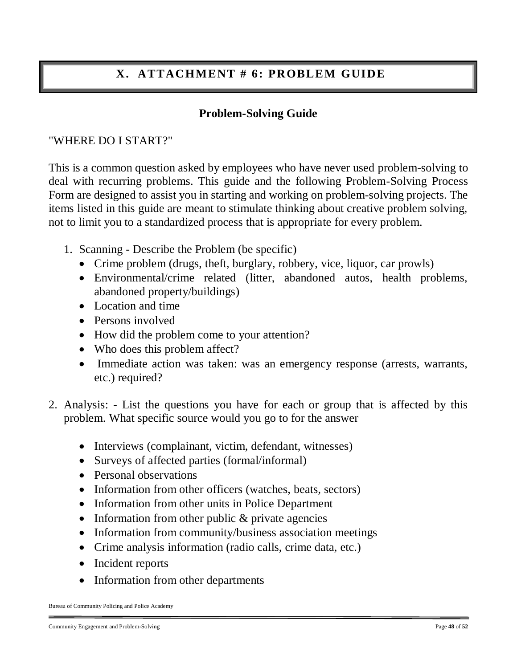# **X. ATTACHMENT # 6: PROBLEM GUIDE**

### **Problem-Solving Guide**

### "WHERE DO I START?"

This is a common question asked by employees who have never used problem-solving to deal with recurring problems. This guide and the following Problem-Solving Process Form are designed to assist you in starting and working on problem-solving projects. The items listed in this guide are meant to stimulate thinking about creative problem solving, not to limit you to a standardized process that is appropriate for every problem.

- 1. Scanning Describe the Problem (be specific)
	- Crime problem (drugs, theft, burglary, robbery, vice, liquor, car prowls)
	- Environmental/crime related (litter, abandoned autos, health problems, abandoned property/buildings)
	- Location and time
	- Persons involved
	- How did the problem come to your attention?
	- Who does this problem affect?
	- Immediate action was taken: was an emergency response (arrests, warrants, etc.) required?
- 2. Analysis: List the questions you have for each or group that is affected by this problem. What specific source would you go to for the answer
	- Interviews (complainant, victim, defendant, witnesses)
	- Surveys of affected parties (formal/informal)
	- Personal observations
	- Information from other officers (watches, beats, sectors)
	- Information from other units in Police Department
	- Information from other public  $&$  private agencies
	- Information from community/business association meetings
	- Crime analysis information (radio calls, crime data, etc.)
	- Incident reports
	- Information from other departments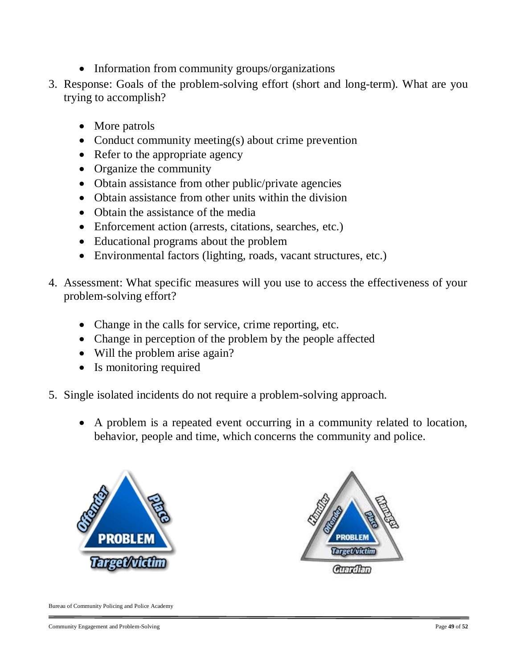- Information from community groups/organizations
- 3. Response: Goals of the problem-solving effort (short and long-term). What are you trying to accomplish?
	- More patrols
	- Conduct community meeting(s) about crime prevention
	- Refer to the appropriate agency
	- Organize the community
	- Obtain assistance from other public/private agencies
	- Obtain assistance from other units within the division
	- Obtain the assistance of the media
	- Enforcement action (arrests, citations, searches, etc.)
	- Educational programs about the problem
	- Environmental factors (lighting, roads, vacant structures, etc.)
- 4. Assessment: What specific measures will you use to access the effectiveness of your problem-solving effort?
	- Change in the calls for service, crime reporting, etc.
	- Change in perception of the problem by the people affected
	- Will the problem arise again?
	- Is monitoring required
- 5. Single isolated incidents do not require a problem-solving approach.
	- A problem is a repeated event occurring in a community related to location, behavior, people and time, which concerns the community and police.



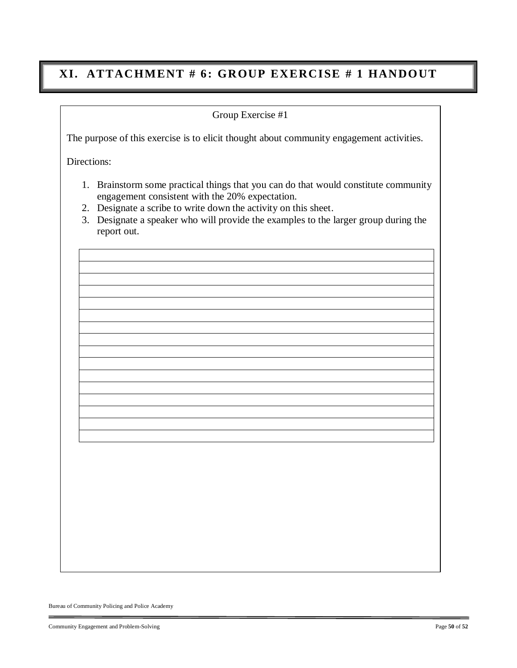# **XI. ATTACHMENT # 6: GROUP EXERCI SE # 1 HANDOUT**

Group Exercise #1

The purpose of this exercise is to elicit thought about community engagement activities.

Directions:

- 1. Brainstorm some practical things that you can do that would constitute community engagement consistent with the 20% expectation.
- 2. Designate a scribe to write down the activity on this sheet.
- 3. Designate a speaker who will provide the examples to the larger group during the report out.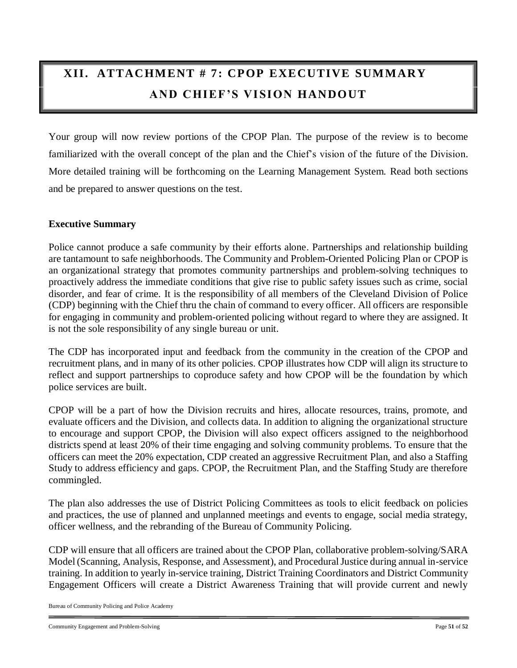# **XII. ATTACHMENT # 7: CPOP EXECUTIVE SUMMARY AND CHIEF'S VISION HANDOUT**

Your group will now review portions of the CPOP Plan. The purpose of the review is to become familiarized with the overall concept of the plan and the Chief's vision of the future of the Division. More detailed training will be forthcoming on the Learning Management System. Read both sections and be prepared to answer questions on the test.

#### **Executive Summary**

Police cannot produce a safe community by their efforts alone. Partnerships and relationship building are tantamount to safe neighborhoods. The Community and Problem-Oriented Policing Plan or CPOP is an organizational strategy that promotes community partnerships and problem-solving techniques to proactively address the immediate conditions that give rise to public safety issues such as crime, social disorder, and fear of crime. It is the responsibility of all members of the Cleveland Division of Police (CDP) beginning with the Chief thru the chain of command to every officer. All officers are responsible for engaging in community and problem-oriented policing without regard to where they are assigned. It is not the sole responsibility of any single bureau or unit.

The CDP has incorporated input and feedback from the community in the creation of the CPOP and recruitment plans, and in many of its other policies. CPOP illustrates how CDP will align its structure to reflect and support partnerships to coproduce safety and how CPOP will be the foundation by which police services are built.

CPOP will be a part of how the Division recruits and hires, allocate resources, trains, promote, and evaluate officers and the Division, and collects data. In addition to aligning the organizational structure to encourage and support CPOP, the Division will also expect officers assigned to the neighborhood districts spend at least 20% of their time engaging and solving community problems. To ensure that the officers can meet the 20% expectation, CDP created an aggressive Recruitment Plan, and also a Staffing Study to address efficiency and gaps. CPOP, the Recruitment Plan, and the Staffing Study are therefore commingled.

The plan also addresses the use of District Policing Committees as tools to elicit feedback on policies and practices, the use of planned and unplanned meetings and events to engage, social media strategy, officer wellness, and the rebranding of the Bureau of Community Policing.

CDP will ensure that all officers are trained about the CPOP Plan, collaborative problem-solving/SARA Model (Scanning, Analysis, Response, and Assessment), and Procedural Justice during annual in-service training. In addition to yearly in-service training, District Training Coordinators and District Community Engagement Officers will create a District Awareness Training that will provide current and newly